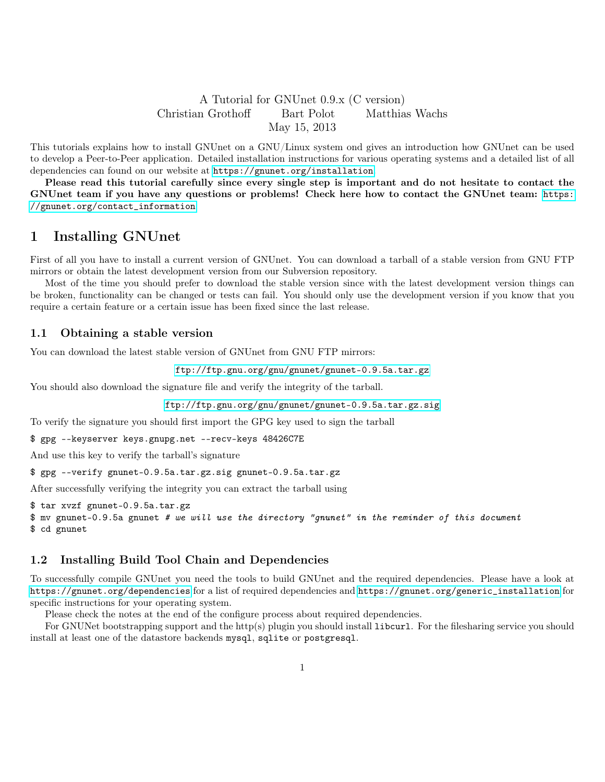# A Tutorial for GNUnet 0.9.x (C version) Christian Grothoff Bart Polot Matthias Wachs May 15, 2013

This tutorials explains how to install GNUnet on a GNU/Linux system ond gives an introduction how GNUnet can be used to develop a Peer-to-Peer application. Detailed installation instructions for various operating systems and a detailed list of all dependencies can found on our website at <https://gnunet.org/installation>.

Please read this tutorial carefully since every single step is important and do not hesitate to contact the GNUnet team if you have any questions or problems! Check here how to contact the GNUnet team: [https:](https://gnunet.org/contact_information) [//gnunet.org/contact\\_information](https://gnunet.org/contact_information)

# 1 Installing GNUnet

First of all you have to install a current version of GNUnet. You can download a tarball of a stable version from GNU FTP mirrors or obtain the latest development version from our Subversion repository.

Most of the time you should prefer to download the stable version since with the latest development version things can be broken, functionality can be changed or tests can fail. You should only use the development version if you know that you require a certain feature or a certain issue has been fixed since the last release.

### 1.1 Obtaining a stable version

You can download the latest stable version of GNUnet from GNU FTP mirrors:

<ftp://ftp.gnu.org/gnu/gnunet/gnunet-0.9.5a.tar.gz>

You should also download the signature file and verify the integrity of the tarball.

<ftp://ftp.gnu.org/gnu/gnunet/gnunet-0.9.5a.tar.gz.sig>

To verify the signature you should first import the GPG key used to sign the tarball

\$ gpg --keyserver keys.gnupg.net --recv-keys 48426C7E

And use this key to verify the tarball's signature

\$ gpg --verify gnunet-0.9.5a.tar.gz.sig gnunet-0.9.5a.tar.gz

After successfully verifying the integrity you can extract the tarball using

\$ tar xvzf gnunet-0.9.5a.tar.gz

\$ mv gnunet-0.9.5a gnunet # we will use the directory "gnunet" in the reminder of this document

\$ cd gnunet

# 1.2 Installing Build Tool Chain and Dependencies

To successfully compile GNUnet you need the tools to build GNUnet and the required dependencies. Please have a look at <https://gnunet.org/dependencies> for a list of required dependencies and [https://gnunet.org/generic\\_installation](https://gnunet.org/generic_installation) for specific instructions for your operating system.

Please check the notes at the end of the configure process about required dependencies.

For GNUNet bootstrapping support and the http(s) plugin you should install libcurl. For the filesharing service you should install at least one of the datastore backends mysql, sqlite or postgresql.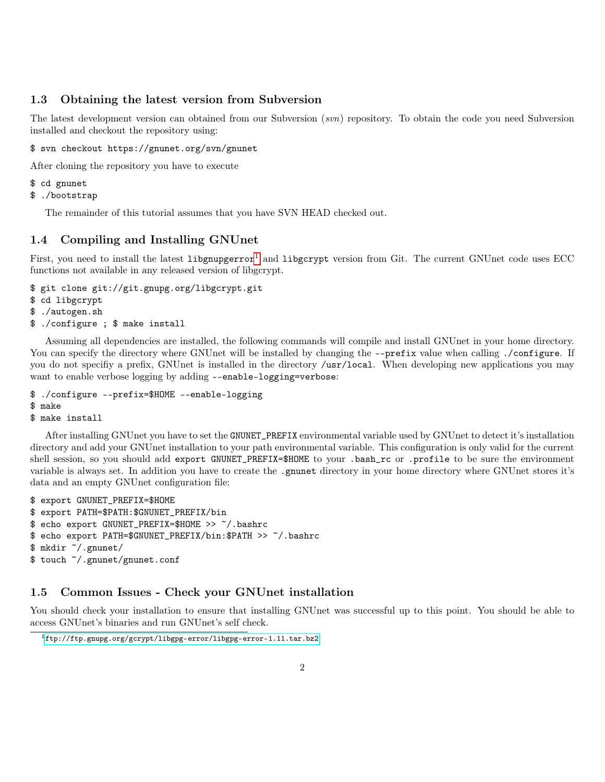### 1.3 Obtaining the latest version from Subversion

The latest development version can obtained from our Subversion (svn) repository. To obtain the code you need Subversion installed and checkout the repository using:

\$ svn checkout https://gnunet.org/svn/gnunet

After cloning the repository you have to execute

\$ cd gnunet

```
$ ./bootstrap
```
The remainder of this tutorial assumes that you have SVN HEAD checked out.

# 1.4 Compiling and Installing GNUnet

First, you need to install the latest libgnupgerror<sup>[1](#page-1-0)</sup> and libgcrypt version from Git. The current GNUnet code uses ECC functions not available in any released version of libgcrypt.

\$ git clone git://git.gnupg.org/libgcrypt.git

```
$ cd libgcrypt
```
- \$ ./autogen.sh
- <span id="page-1-1"></span>\$ ./configure ; \$ make install

Assuming all dependencies are installed, the following commands will compile and install GNUnet in your home directory. You can specify the directory where GNUnet will be installed by changing the --prefix value when calling ./configure. If you do not specifiy a prefix, GNUnet is installed in the directory /usr/local. When developing new applications you may want to enable verbose logging by adding --enable-logging=verbose:

```
$ ./configure --prefix=$HOME --enable-logging
```

```
$ make
```

```
$ make install
```
After installing GNUnet you have to set the GNUNET\_PREFIX environmental variable used by GNUnet to detect it's installation directory and add your GNUnet installation to your path environmental variable. This configuration is only valid for the current shell session, so you should add export GNUNET\_PREFIX=\$HOME to your .bash\_rc or .profile to be sure the environment variable is always set. In addition you have to create the .gnunet directory in your home directory where GNUnet stores it's data and an empty GNUnet configuration file:

\$ export GNUNET\_PREFIX=\$HOME \$ export PATH=\$PATH:\$GNUNET\_PREFIX/bin \$ echo export GNUNET\_PREFIX=\$HOME >> ~/.bashrc \$ echo export PATH=\$GNUNET\_PREFIX/bin:\$PATH >> ~/.bashrc \$ mkdir ~/.gnunet/ \$ touch ~/.gnunet/gnunet.conf

# 1.5 Common Issues - Check your GNUnet installation

You should check your installation to ensure that installing GNUnet was successful up to this point. You should be able to access GNUnet's binaries and run GNUnet's self check.

<span id="page-1-0"></span> $^1\mathtt{ftp://ftp.gnups.org/gcrypt/libgpg-error/libgpg-error-1.11.tar.bz2}$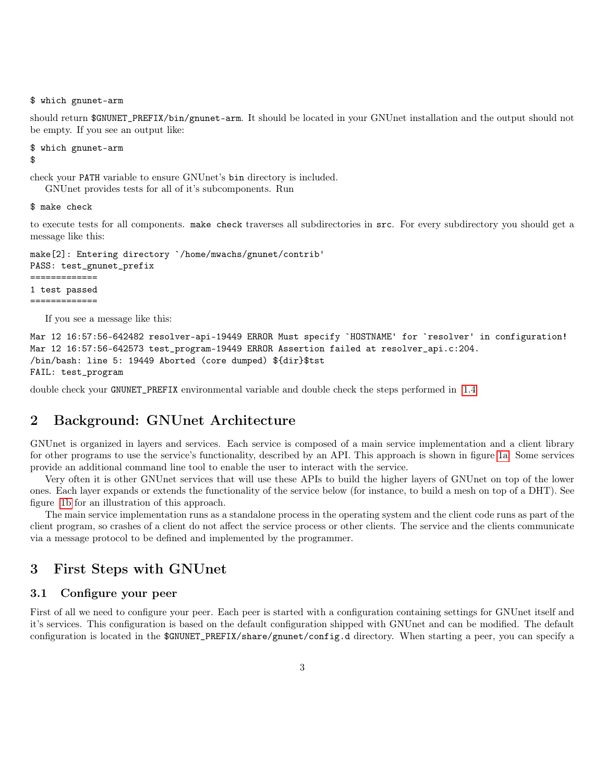\$ which gnunet-arm

should return \$GNUNET\_PREFIX/bin/gnunet-arm. It should be located in your GNUnet installation and the output should not be empty. If you see an output like:

```
$ which gnunet-arm
$
```
check your PATH variable to ensure GNUnet's bin directory is included.

GNUnet provides tests for all of it's subcomponents. Run

\$ make check

to execute tests for all components. make check traverses all subdirectories in src. For every subdirectory you should get a message like this:

```
make[2]: Entering directory `/home/mwachs/gnunet/contrib'
PASS: test_gnunet_prefix
=============
1 test passed
=============
```
If you see a message like this:

```
Mar 12 16:57:56-642482 resolver-api-19449 ERROR Must specify `HOSTNAME' for `resolver' in configuration!
Mar 12 16:57:56-642573 test_program-19449 ERROR Assertion failed at resolver_api.c:204.
/bin/bash: line 5: 19449 Aborted (core dumped) ${dir}$tst
FAIL: test_program
```
double check your GNUNET\_PREFIX environmental variable and double check the steps performed in [1.4](#page-1-1)

# 2 Background: GNUnet Architecture

GNUnet is organized in layers and services. Each service is composed of a main service implementation and a client library for other programs to use the service's functionality, described by an API. This approach is shown in figure [1a.](#page-3-0) Some services provide an additional command line tool to enable the user to interact with the service.

Very often it is other GNUnet services that will use these APIs to build the higher layers of GNUnet on top of the lower ones. Each layer expands or extends the functionality of the service below (for instance, to build a mesh on top of a DHT). See figure [1b](#page-3-0) for an illustration of this approach.

The main service implementation runs as a standalone process in the operating system and the client code runs as part of the client program, so crashes of a client do not affect the service process or other clients. The service and the clients communicate via a message protocol to be defined and implemented by the programmer.

# 3 First Steps with GNUnet

## 3.1 Configure your peer

First of all we need to configure your peer. Each peer is started with a configuration containing settings for GNUnet itself and it's services. This configuration is based on the default configuration shipped with GNUnet and can be modified. The default configuration is located in the \$GNUNET\_PREFIX/share/gnunet/config.d directory. When starting a peer, you can specify a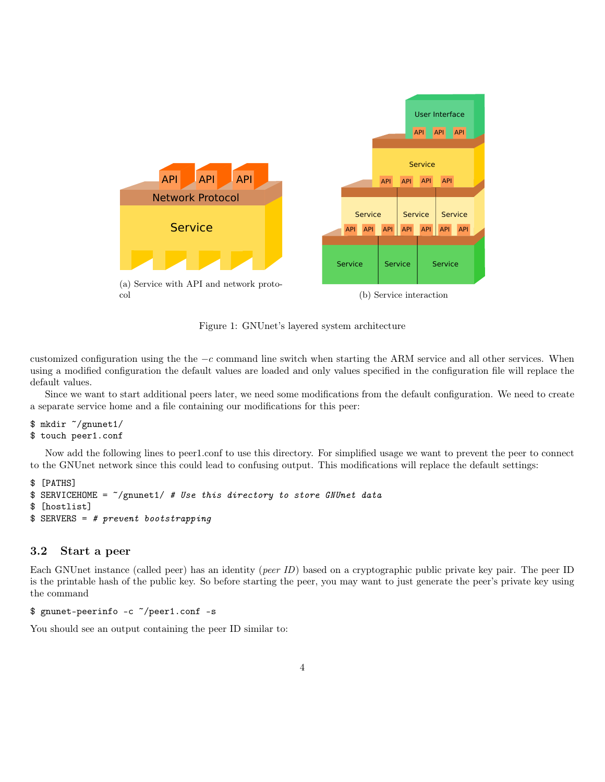<span id="page-3-0"></span>

Figure 1: GNUnet's layered system architecture

customized configuration using the the  $-c$  command line switch when starting the ARM service and all other services. When using a modified configuration the default values are loaded and only values specified in the configuration file will replace the default values.

Since we want to start additional peers later, we need some modifications from the default configuration. We need to create a separate service home and a file containing our modifications for this peer:

```
$ mkdir ~/gnunet1/
$ touch peer1.conf
```
Now add the following lines to peer1.conf to use this directory. For simplified usage we want to prevent the peer to connect to the GNUnet network since this could lead to confusing output. This modifications will replace the default settings:

```
$ [PATHS]
$ SERVICEHOME = ^*/gnunet1/ # Use this directory to store GNUnet data
$ [hostlist]
$ SERVERS = # prevent bootstrapping
```
### 3.2 Start a peer

Each GNUnet instance (called peer) has an identity (peer ID) based on a cryptographic public private key pair. The peer ID is the printable hash of the public key. So before starting the peer, you may want to just generate the peer's private key using the command

```
$ gnunet-peerinfo -c ~/peer1.conf -s
```
You should see an output containing the peer ID similar to: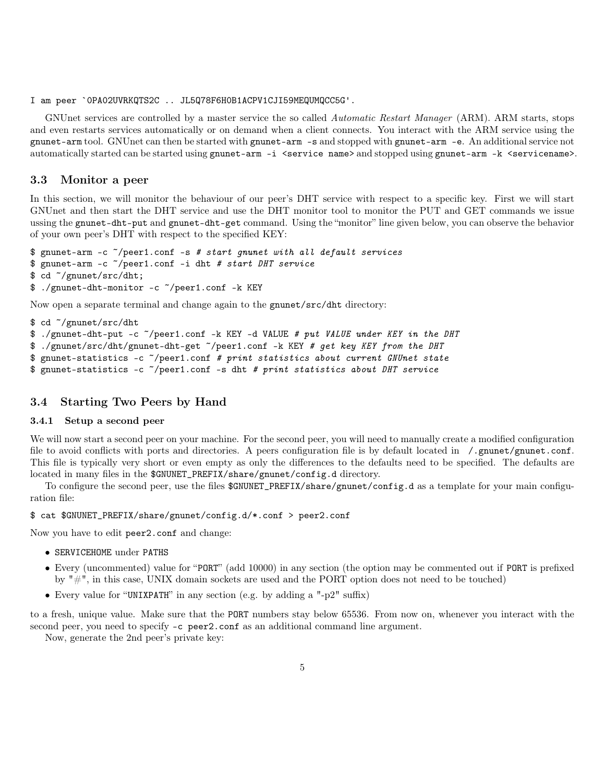### I am peer `0PA02UVRKQTS2C .. JL5Q78F6H0B1ACPV1CJI59MEQUMQCC5G'.

GNUnet services are controlled by a master service the so called Automatic Restart Manager (ARM). ARM starts, stops and even restarts services automatically or on demand when a client connects. You interact with the ARM service using the gnunet-arm tool. GNUnet can then be started with gnunet-arm -s and stopped with gnunet-arm -e. An additional service not automatically started can be started using gnunet-arm -i <service name> and stopped using gnunet-arm -k <servicename>.

### 3.3 Monitor a peer

In this section, we will monitor the behaviour of our peer's DHT service with respect to a specific key. First we will start GNUnet and then start the DHT service and use the DHT monitor tool to monitor the PUT and GET commands we issue ussing the gnunet-dht-put and gnunet-dht-get command. Using the "monitor" line given below, you can observe the behavior of your own peer's DHT with respect to the specified KEY:

```
$ gnunet-arm -c ~/peer1.conf -s # start gnunet with all default services
$ gnunet-arm -c ~/peer1.conf -i dht # start DHT service
$ cd ~/gnunet/src/dht;
$ ./gnunet-dht-monitor -c ~/peer1.conf -k KEY
```
Now open a separate terminal and change again to the gnunet/src/dht directory:

```
$ cd ~/gnunet/src/dht
$ ./gnunet-dht-put -c ~/peer1.conf -k KEY -d VALUE # put VALUE under KEY in the DHT
$ ./gnunet/src/dht/gnunet-dht-get ~/peer1.conf -k KEY # get key KEY from the DHT
$ gnunet-statistics -c ~/peer1.conf # print statistics about current GNUnet state
$ gnunet-statistics -c ~/peer1.conf -s dht # print statistics about DHT service
```
# 3.4 Starting Two Peers by Hand

### 3.4.1 Setup a second peer

We will now start a second peer on your machine. For the second peer, you will need to manually create a modified configuration file to avoid conflicts with ports and directories. A peers configuration file is by default located in /.gnunet/gnunet.conf. This file is typically very short or even empty as only the differences to the defaults need to be specified. The defaults are located in many files in the \$GNUNET\_PREFIX/share/gnunet/config.d directory.

To configure the second peer, use the files \$GNUNET\_PREFIX/share/gnunet/config.d as a template for your main configuration file:

\$ cat \$GNUNET\_PREFIX/share/gnunet/config.d/\*.conf > peer2.conf

Now you have to edit peer2.conf and change:

- SERVICEHOME under PATHS
- Every (uncommented) value for "PORT" (add 10000) in any section (the option may be commented out if PORT is prefixed by "#", in this case, UNIX domain sockets are used and the PORT option does not need to be touched)
- Every value for "UNIXPATH" in any section (e.g. by adding a "-p2" suffix)

to a fresh, unique value. Make sure that the PORT numbers stay below 65536. From now on, whenever you interact with the second peer, you need to specify -c peer2.conf as an additional command line argument.

Now, generate the 2nd peer's private key: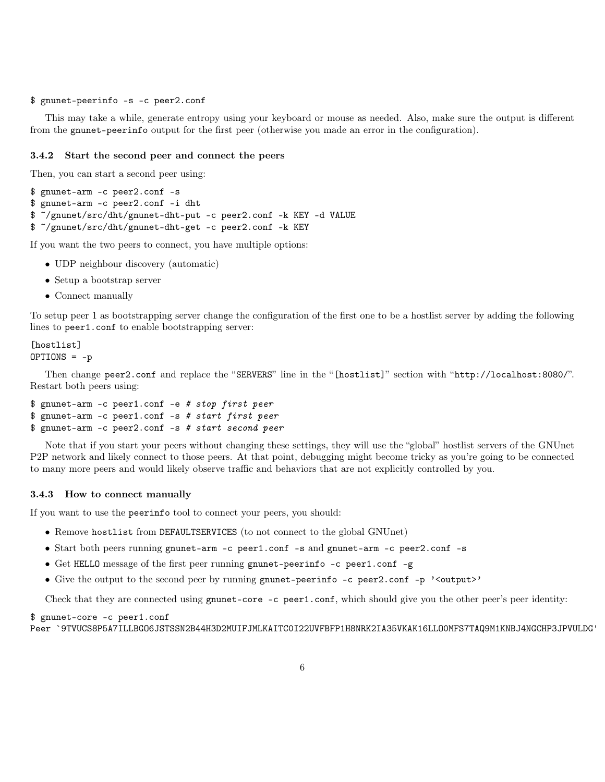#### \$ gnunet-peerinfo -s -c peer2.conf

This may take a while, generate entropy using your keyboard or mouse as needed. Also, make sure the output is different from the gnunet-peerinfo output for the first peer (otherwise you made an error in the configuration).

### 3.4.2 Start the second peer and connect the peers

Then, you can start a second peer using:

```
$ gnunet-arm -c peer2.conf -s
$ gnunet-arm -c peer2.conf -i dht
$ ~/gnunet/src/dht/gnunet-dht-put -c peer2.conf -k KEY -d VALUE
$ ~/gnunet/src/dht/gnunet-dht-get -c peer2.conf -k KEY
```
If you want the two peers to connect, you have multiple options:

- UDP neighbour discovery (automatic)
- Setup a bootstrap server
- Connect manually

To setup peer 1 as bootstrapping server change the configuration of the first one to be a hostlist server by adding the following lines to peer1.conf to enable bootstrapping server:

```
[hostlist]
OPTIONS = -p
```
Then change peer2.conf and replace the "SERVERS" line in the "[hostlist]" section with "http://localhost:8080/". Restart both peers using:

```
$ gnunet-arm -c peer1.conf -e # stop first peer
$ gnunet-arm -c peer1.conf -s # start first peer
$ gnunet-arm -c peer2.conf -s # start second peer
```
Note that if you start your peers without changing these settings, they will use the "global" hostlist servers of the GNUnet P2P network and likely connect to those peers. At that point, debugging might become tricky as you're going to be connected to many more peers and would likely observe traffic and behaviors that are not explicitly controlled by you.

### 3.4.3 How to connect manually

If you want to use the peerinfo tool to connect your peers, you should:

- Remove hostlist from DEFAULTSERVICES (to not connect to the global GNUnet)
- Start both peers running gnunet-arm -c peer1.conf -s and gnunet-arm -c peer2.conf -s
- Get HELLO message of the first peer running gnunet-peerinfo -c peer1.conf -g
- Give the output to the second peer by running gnunet-peerinfo -c peer2.conf -p '<output>'

Check that they are connected using gnunet-core -c peer1.conf, which should give you the other peer's peer identity:

### \$ gnunet-core -c peer1.conf

```
Peer `9TVUCS8P5A7ILLBGO6JSTSSN2B44H3D2MUIFJMLKAITC0I22UVFBFP1H8NRK2IA35VKAK16LLO0MFS7TAQ9M1KNBJ4NGCHP3JPVULDG'
```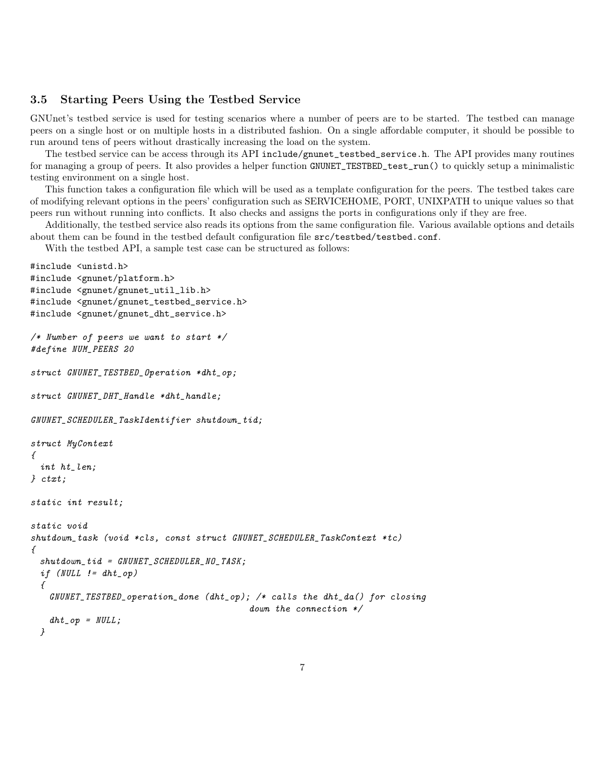# 3.5 Starting Peers Using the Testbed Service

GNUnet's testbed service is used for testing scenarios where a number of peers are to be started. The testbed can manage peers on a single host or on multiple hosts in a distributed fashion. On a single affordable computer, it should be possible to run around tens of peers without drastically increasing the load on the system.

The testbed service can be access through its API include/gnunet\_testbed\_service.h. The API provides many routines for managing a group of peers. It also provides a helper function GNUNET\_TESTBED\_test\_run() to quickly setup a minimalistic testing environment on a single host.

This function takes a configuration file which will be used as a template configuration for the peers. The testbed takes care of modifying relevant options in the peers' configuration such as SERVICEHOME, PORT, UNIXPATH to unique values so that peers run without running into conflicts. It also checks and assigns the ports in configurations only if they are free.

Additionally, the testbed service also reads its options from the same configuration file. Various available options and details about them can be found in the testbed default configuration file src/testbed/testbed.conf.

With the testbed API, a sample test case can be structured as follows:

```
#include <unistd.h>
#include <gnunet/platform.h>
#include <gnunet/gnunet_util_lib.h>
#include <gnunet/gnunet_testbed_service.h>
#include <gnunet/gnunet_dht_service.h>
/* Number of peers we want to start */
#define NUM_PEERS 20
struct GNUNET_TESTBED_Operation *dht_op;
struct GNUNET_DHT_Handle *dht_handle;
GNUNET_SCHEDULER_TaskIdentifier shutdown_tid;
struct MyContext
{
 int ht_len;
} ctxt;
static int result;
static void
shutdown_task (void *cls, const struct GNUNET_SCHEDULER_TaskContext *tc)
{
 shutdown\_tid = GWUNET_SCHEDULER\_NO_TASK;if (NULL != dht op)
 {
   GNUNET_TESTBED_operation_done (dht_op); /* calls the dht_da() for closing
                                           down the connection */
   dht\_op = NULL;}
```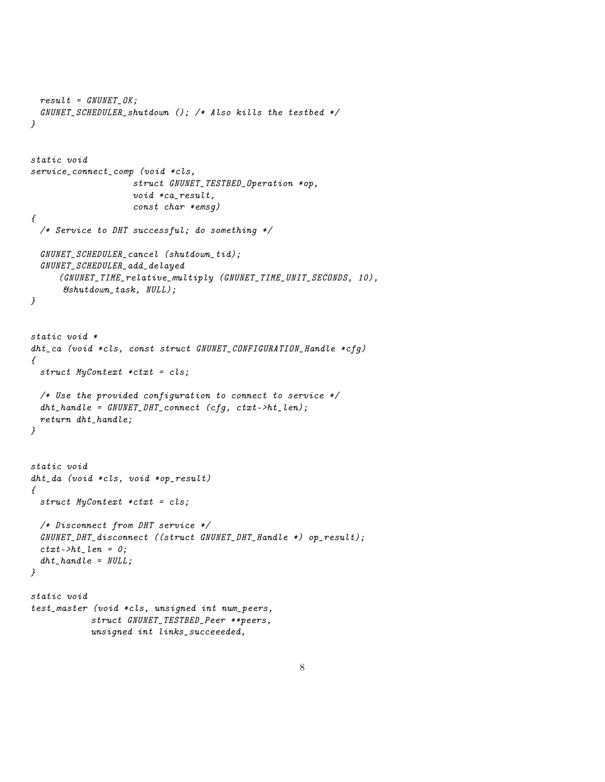```
result = GWUNET_OK;GNUNET_SCHEDULER_shutdown (); /* Also kills the testbed */
}
static void
service_connect_comp (void *cls,
                    struct GNUNET_TESTBED_Operation *op,
                    void *ca_result,
                    const char *emsg)
{
 /* Service to DHT successful; do something */
 GNUNET_SCHEDULER_cancel (shutdown_tid);
 GNUNET_SCHEDULER_add_delayed
     (GNUNET_TIME_relative_multiply (GNUNET_TIME_UNIT_SECONDS, 10),
      &shutdown_task, NULL);
}
static void *
dht_ca (void *cls, const struct GNUNET_CONFIGURATION_Handle *cfg)
{
 struct MyContext *ctxt = cls;
 /* Use the provided configuration to connect to service */
 dht\_handle = GWUNET\_DHT\_connect (cfg, ctxt->ht\_len);return dht_handle;
}
static void
dht_da (void *cls, void *op_result)
{
 struct MyContext *ctxt = cls;
 /* Disconnect from DHT service */
 GNUNET_DHT_disconnect ((struct GNUNET_DHT_Handle *) op_result);
 ctxt->ht_-len = 0;dht\_handle = NULL;}
static void
test_master (void *cls, unsigned int num_peers,
            struct GNUNET_TESTBED_Peer **peers,
            unsigned int links_succeeeded,
```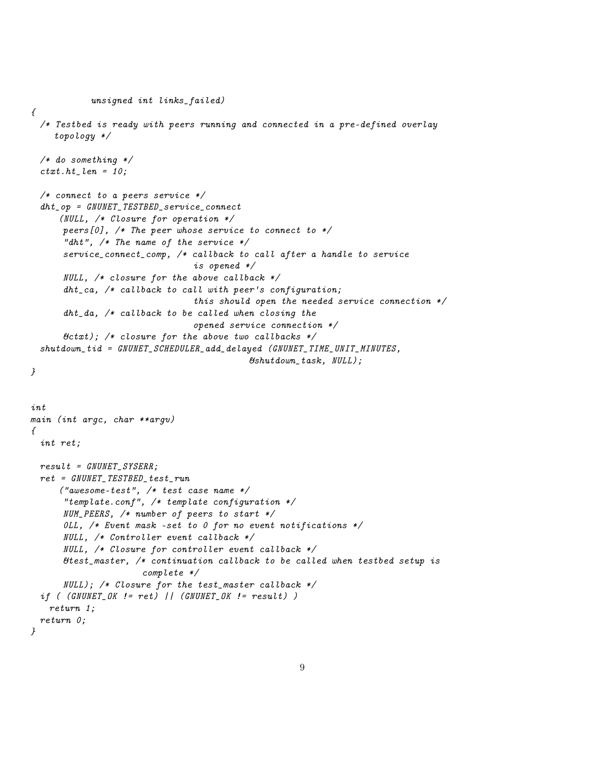```
unsigned int links_failed)
\sqrt{ }/* Testbed is ready with peers running and connected in a pre-defined overlay
    topology */
 /* do something */
  ctxt.ht_len = 10;/* connect to a peers service */
  dht_op = GNUNET_TESTBED_service_connect
     (NULL, /* Closure for operation */peers[0], /* The peer whose service to connect to */"dht", /* The name of the service */service_connect_comp, /* callback to call after a handle to service
                                is opened */
      NULL, /* closure for the above callback */
      dht_cca, /* callback to call with peer's configuration;
                                this should open the needed service connection */
      dht\_da, /* callback to be called when closing the
                                opened service connection */
      & \text{C}(\mathbf{x}); /* closure for the above two callbacks */
  shutdown_tid = GNUNET_SCHEDULER_add_delayed (GNUNET_TIME_UNIT_MINUTES,
                                           &shutdown_task, NULL);
}
int
main (int argc, char **argv)
\sqrt{ }int ret;
 result = GWUNET_SYSERR;ret = GNUNET_TESTBED_test_run
     ("awesome-test", /* test case name */
      "template.conf", /* template configuration */
      NUM_PEERS, /* number of peers to start */
      OLL, /* Event mask -set to 0 for no event notifications */NULL, /* Controller event callback */
      NULL, /* Closure for controller event callback */
      &test_master, /* continuation callback to be called when testbed setup is
                      complete */
      NULL); /* Closure for the test_master callback */
  if (GNUNET_GK := ret) || (GNUNET_GK := result) )
   return 1;
  return 0;
}
```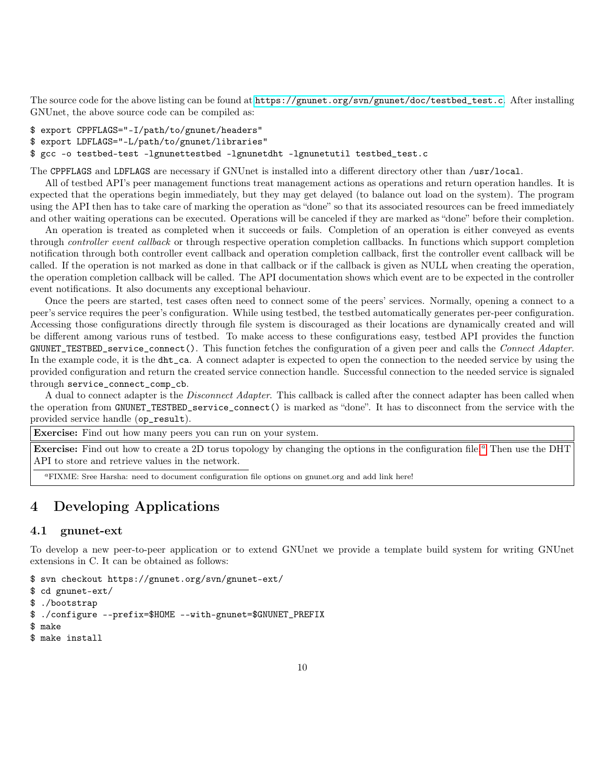The source code for the above listing can be found at [https://gnunet.org/svn/gnunet/doc/testbed\\_test.c](https://gnunet.org/svn/gnunet/doc/testbed_test.c). After installing GNUnet, the above source code can be compiled as:

```
$ export CPPFLAGS="-I/path/to/gnunet/headers"
```

```
$ export LDFLAGS="-L/path/to/gnunet/libraries"
```
\$ gcc -o testbed-test -lgnunettestbed -lgnunetdht -lgnunetutil testbed\_test.c

The CPPFLAGS and LDFLAGS are necessary if GNUnet is installed into a different directory other than /usr/local.

All of testbed API's peer management functions treat management actions as operations and return operation handles. It is expected that the operations begin immediately, but they may get delayed (to balance out load on the system). The program using the API then has to take care of marking the operation as "done" so that its associated resources can be freed immediately and other waiting operations can be executed. Operations will be canceled if they are marked as "done" before their completion.

An operation is treated as completed when it succeeds or fails. Completion of an operation is either conveyed as events through controller event callback or through respective operation completion callbacks. In functions which support completion notification through both controller event callback and operation completion callback, first the controller event callback will be called. If the operation is not marked as done in that callback or if the callback is given as NULL when creating the operation, the operation completion callback will be called. The API documentation shows which event are to be expected in the controller event notifications. It also documents any exceptional behaviour.

Once the peers are started, test cases often need to connect some of the peers' services. Normally, opening a connect to a peer's service requires the peer's configuration. While using testbed, the testbed automatically generates per-peer configuration. Accessing those configurations directly through file system is discouraged as their locations are dynamically created and will be different among various runs of testbed. To make access to these configurations easy, testbed API provides the function GNUNET\_TESTBED\_service\_connect(). This function fetches the configuration of a given peer and calls the *Connect Adapter*. In the example code, it is the dht\_ca. A connect adapter is expected to open the connection to the needed service by using the provided configuration and return the created service connection handle. Successful connection to the needed service is signaled through service\_connect\_comp\_cb.

A dual to connect adapter is the *Disconnect Adapter*. This callback is called after the connect adapter has been called when the operation from GNUNET\_TESTBED\_service\_connect() is marked as "done". It has to disconnect from the service with the provided service handle (op\_result).

Exercise: Find out how many peers you can run on your system.

**Exercise:** Find out how to cre[a](#page-9-0)te a 2D torus topology by changing the options in the configuration file.<sup>a</sup> Then use the DHT API to store and retrieve values in the network.

<span id="page-9-0"></span><sup>a</sup>FIXME: Sree Harsha: need to document configuration file options on gnunet.org and add link here!

# 4 Developing Applications

### 4.1 gnunet-ext

To develop a new peer-to-peer application or to extend GNUnet we provide a template build system for writing GNUnet extensions in C. It can be obtained as follows:

\$ svn checkout https://gnunet.org/svn/gnunet-ext/

```
$ cd gnunet-ext/
```

```
$ ./bootstrap
```

```
$ ./configure --prefix=$HOME --with-gnunet=$GNUNET_PREFIX
```

```
$ make
```

```
$ make install
```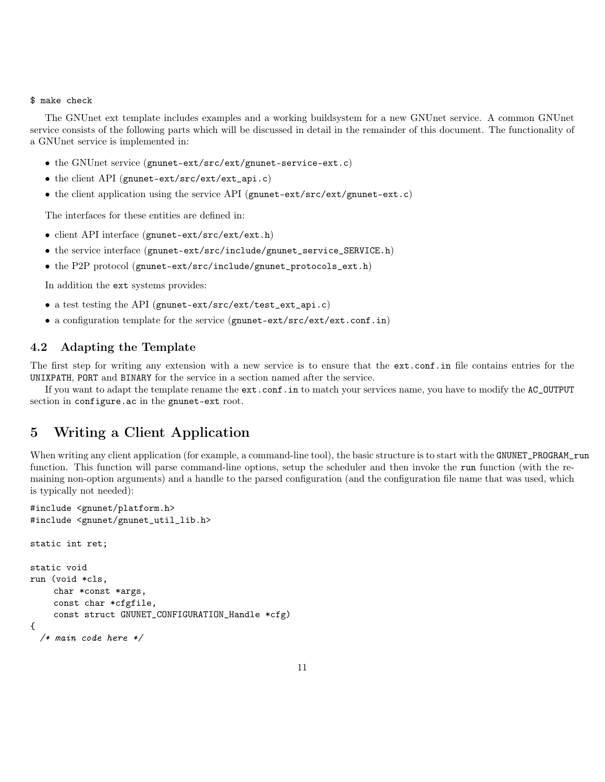### \$ make check

The GNUnet ext template includes examples and a working buildsystem for a new GNUnet service. A common GNUnet service consists of the following parts which will be discussed in detail in the remainder of this document. The functionality of a GNUnet service is implemented in:

- the GNUnet service (gnunet-ext/src/ext/gnunet-service-ext.c)
- the client API (gnunet-ext/src/ext/ext\_api.c)
- the client application using the service API (gnunet-ext/src/ext/gnunet-ext.c)

The interfaces for these entities are defined in:

- client API interface (gnunet-ext/src/ext/ext.h)
- the service interface (gnunet-ext/src/include/gnunet\_service\_SERVICE.h)
- the P2P protocol (gnunet-ext/src/include/gnunet\_protocols\_ext.h)

In addition the ext systems provides:

- a test testing the API (gnunet-ext/src/ext/test\_ext\_api.c)
- a configuration template for the service (gnunet-ext/src/ext/ext.conf.in)

# 4.2 Adapting the Template

The first step for writing any extension with a new service is to ensure that the ext.conf.in file contains entries for the UNIXPATH, PORT and BINARY for the service in a section named after the service.

If you want to adapt the template rename the ext.conf.in to match your services name, you have to modify the AC\_OUTPUT section in configure.ac in the gnunet-ext root.

# 5 Writing a Client Application

When writing any client application (for example, a command-line tool), the basic structure is to start with the GNUNET\_PROGRAM\_run function. This function will parse command-line options, setup the scheduler and then invoke the run function (with the remaining non-option arguments) and a handle to the parsed configuration (and the configuration file name that was used, which is typically not needed):

```
#include <gnunet/platform.h>
#include <gnunet/gnunet_util_lib.h>
static int ret;
static void
run (void *cls,
    char *const *args,
    const char *cfgfile,
    const struct GNUNET_CONFIGURATION_Handle *cfg)
{
  /* main code here */
```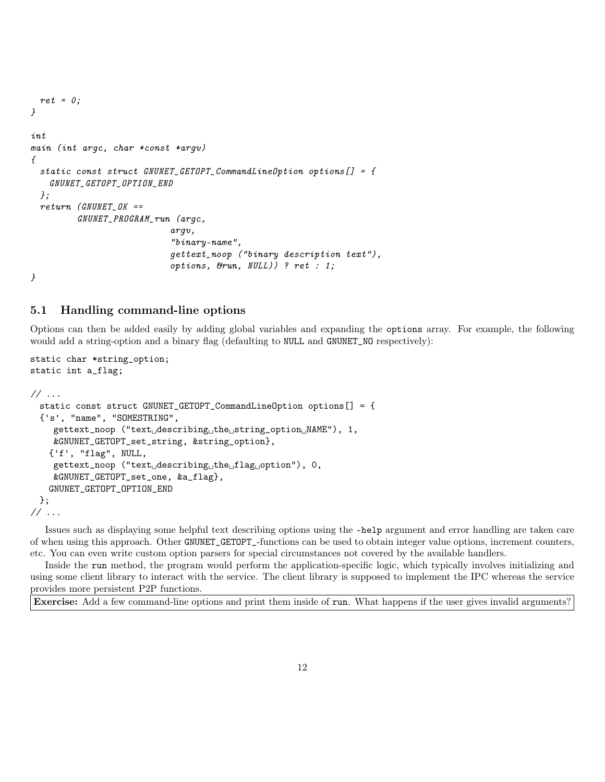```
ret = 0;}
int
main (int argc, char *const *argv)
{
  static const struct GNUNET_GETOPT_CommandLineOption options[] = {
   GNUNET_GETOPT_OPTION_END
 };
 return (GNUNET OK ==GNUNET_PROGRAM_run (argc,
                           argv,
                            "binary-name",
                           gettext_noop ("binary description text"),
                            options, &run, NULL)) ? ret : 1;
}
```
### 5.1 Handling command-line options

Options can then be added easily by adding global variables and expanding the options array. For example, the following would add a string-option and a binary flag (defaulting to NULL and GNUNET\_NO respectively):

static char \*string\_option; static int a\_flag; // ... static const struct GNUNET\_GETOPT\_CommandLineOption options[] = { {'s', "name", "SOMESTRING", gettext\_noop ("text␣describing␣the␣string\_option␣NAME"), 1, &GNUNET\_GETOPT\_set\_string, &string\_option}, {'f', "flag", NULL, gettext\_noop ("text␣describing␣the␣flag␣option"), 0, &GNUNET\_GETOPT\_set\_one, &a\_flag}, GNUNET\_GETOPT\_OPTION\_END }; // ...

Issues such as displaying some helpful text describing options using the –help argument and error handling are taken care of when using this approach. Other GNUNET\_GETOPT\_-functions can be used to obtain integer value options, increment counters, etc. You can even write custom option parsers for special circumstances not covered by the available handlers.

Inside the run method, the program would perform the application-specific logic, which typically involves initializing and using some client library to interact with the service. The client library is supposed to implement the IPC whereas the service provides more persistent P2P functions.

Exercise: Add a few command-line options and print them inside of run. What happens if the user gives invalid arguments?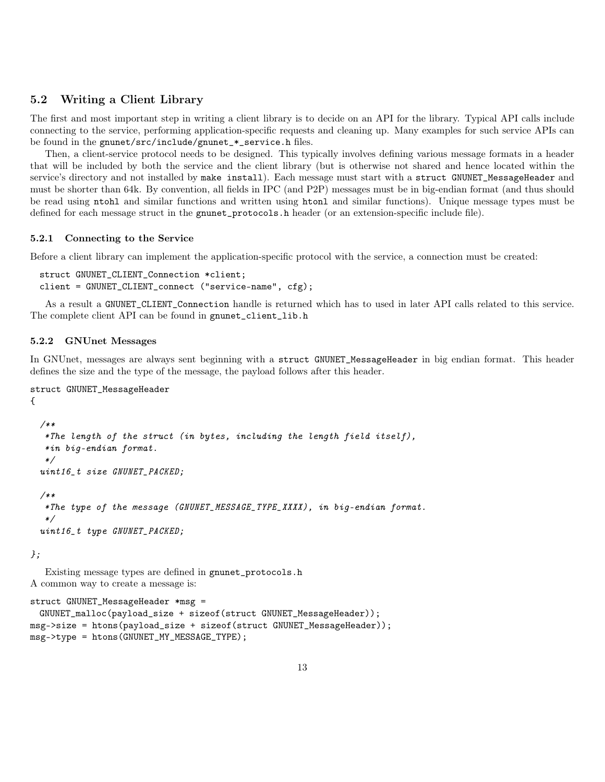## 5.2 Writing a Client Library

The first and most important step in writing a client library is to decide on an API for the library. Typical API calls include connecting to the service, performing application-specific requests and cleaning up. Many examples for such service APIs can be found in the gnunet/src/include/gnunet\_\*\_service.h files.

Then, a client-service protocol needs to be designed. This typically involves defining various message formats in a header that will be included by both the service and the client library (but is otherwise not shared and hence located within the service's directory and not installed by make install). Each message must start with a struct GNUNET\_MessageHeader and must be shorter than 64k. By convention, all fields in IPC (and P2P) messages must be in big-endian format (and thus should be read using ntohl and similar functions and written using htonl and similar functions). Unique message types must be defined for each message struct in the gnunet\_protocols.h header (or an extension-specific include file).

### 5.2.1 Connecting to the Service

Before a client library can implement the application-specific protocol with the service, a connection must be created:

```
struct GNUNET_CLIENT_Connection *client;
client = GNUNET_CLIENT_connect ("service-name", cfg);
```
As a result a GNUNET\_CLIENT\_Connection handle is returned which has to used in later API calls related to this service. The complete client API can be found in gnunet\_client\_lib.h

### 5.2.2 GNUnet Messages

In GNUnet, messages are always sent beginning with a struct GNUNET\_MessageHeader in big endian format. This header defines the size and the type of the message, the payload follows after this header.

```
struct GNUNET_MessageHeader
```

```
{
 /**
  *The length of the struct (in bytes, including the length field itself),
  *in big-endian format.
  */
 uint16_t size GNUNET_PACKED;
 /**
  *The type of the message (GNUNET_MESSAGE_TYPE_XXXX), in big-endian format.
  */
 uint16_t type GNUNET_PACKED;
```
};

Existing message types are defined in gnunet\_protocols.h A common way to create a message is:

```
struct GNUNET_MessageHeader *msg =
 GNUNET_malloc(payload_size + sizeof(struct GNUNET_MessageHeader));
msg->size = htons(payload_size + sizeof(struct GNUNET_MessageHeader));
msg->type = htons(GNUNET_MY_MESSAGE_TYPE);
```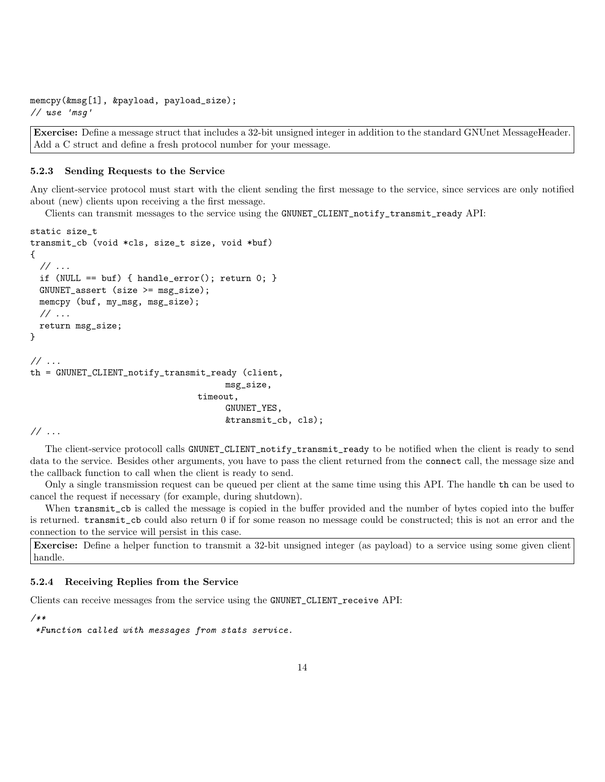```
memcpy(&msg[1], &payload, payload_size);
// use 'msg'
```
Exercise: Define a message struct that includes a 32-bit unsigned integer in addition to the standard GNUnet MessageHeader. Add a C struct and define a fresh protocol number for your message.

#### 5.2.3 Sending Requests to the Service

Any client-service protocol must start with the client sending the first message to the service, since services are only notified about (new) clients upon receiving a the first message.

Clients can transmit messages to the service using the GNUNET\_CLIENT\_notify\_transmit\_ready API:

```
static size_t
transmit_cb (void *cls, size_t size, void *buf)
{
 // ...
 if (NULL == buf) { handle_error(); return 0; }
 GNUNET_assert (size >= msg_size);
 memcpy (buf, my_msg, msg_size);
 // ...
 return msg_size;
}
\frac{1}{2}...
th = GNUNET_CLIENT_notify_transmit_ready (client,
                                        msg_size,
                                  timeout,
                                        GNUNET_YES,
                                        &transmit_cb, cls);
```
// ...

The client-service protocoll calls GNUNET\_CLIENT\_notify\_transmit\_ready to be notified when the client is ready to send data to the service. Besides other arguments, you have to pass the client returned from the connect call, the message size and the callback function to call when the client is ready to send.

Only a single transmission request can be queued per client at the same time using this API. The handle th can be used to cancel the request if necessary (for example, during shutdown).

When transmit\_cb is called the message is copied in the buffer provided and the number of bytes copied into the buffer is returned. transmit\_cb could also return 0 if for some reason no message could be constructed; this is not an error and the connection to the service will persist in this case.

Exercise: Define a helper function to transmit a 32-bit unsigned integer (as payload) to a service using some given client handle.

### 5.2.4 Receiving Replies from the Service

Clients can receive messages from the service using the GNUNET\_CLIENT\_receive API:

### /\*\*

\*Function called with messages from stats service.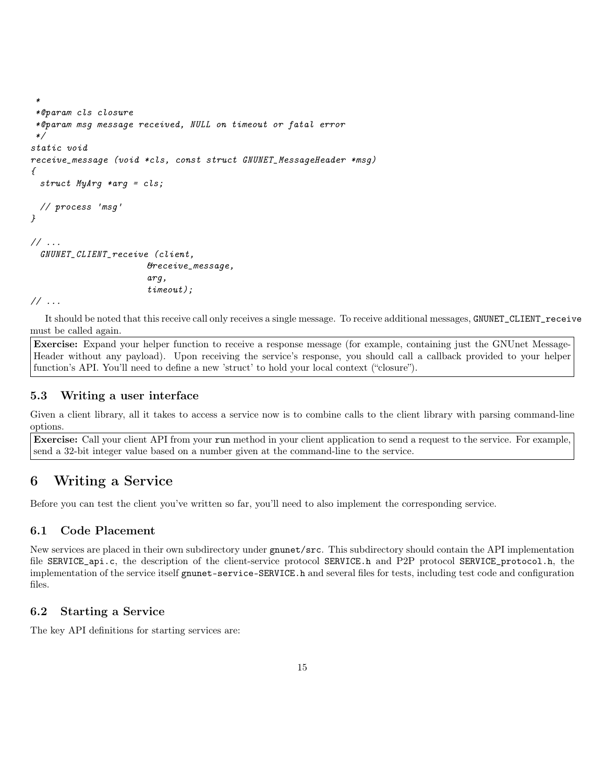```
*@param cls closure
 *@param msg message received, NULL on timeout or fatal error
 */
static void
receive_message (void *cls, const struct GNUNET_MessageHeader *msg)
{
 struct MyArg *arg = cls;
 // process 'msg'
}
// ...
 GNUNET_CLIENT_receive (client,
                       &receive_message,
                       arg,
                       timeout);
```
// ...

\*

It should be noted that this receive call only receives a single message. To receive additional messages, GNUNET\_CLIENT\_receive must be called again.

Exercise: Expand your helper function to receive a response message (for example, containing just the GNUnet Message-Header without any payload). Upon receiving the service's response, you should call a callback provided to your helper function's API. You'll need to define a new 'struct' to hold your local context ("closure").

## 5.3 Writing a user interface

Given a client library, all it takes to access a service now is to combine calls to the client library with parsing command-line options.

Exercise: Call your client API from your run method in your client application to send a request to the service. For example, send a 32-bit integer value based on a number given at the command-line to the service.

# 6 Writing a Service

Before you can test the client you've written so far, you'll need to also implement the corresponding service.

# 6.1 Code Placement

New services are placed in their own subdirectory under gnunet/src. This subdirectory should contain the API implementation file SERVICE\_api.c, the description of the client-service protocol SERVICE.h and P2P protocol SERVICE\_protocol.h, the implementation of the service itself gnunet-service-SERVICE.h and several files for tests, including test code and configuration files.

## 6.2 Starting a Service

The key API definitions for starting services are: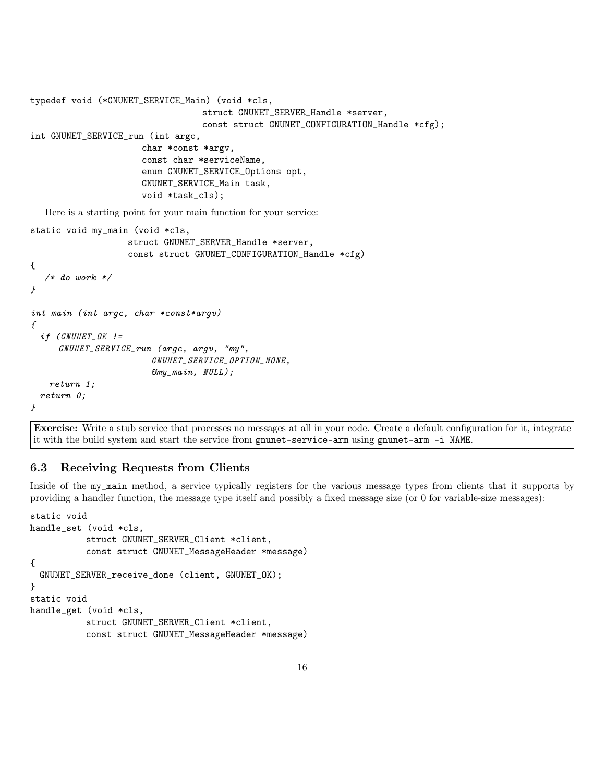```
typedef void (*GNUNET_SERVICE_Main) (void *cls,
                                  struct GNUNET_SERVER_Handle *server,
                                   const struct GNUNET_CONFIGURATION_Handle *cfg);
int GNUNET_SERVICE_run (int argc,
                      char *const *argv,
                      const char *serviceName,
                      enum GNUNET_SERVICE_Options opt,
                      GNUNET_SERVICE_Main task,
                      void *task_cls);
   Here is a starting point for your main function for your service:
static void my_main (void *cls,
                   struct GNUNET_SERVER_Handle *server,
                   const struct GNUNET_CONFIGURATION_Handle *cfg)
{
   /* do work */
}
int main (int argc, char *const*argv)
{
  if (GNUNET_OK !=
     GNUNET_SERVICE_run (argc, argv, "my",
                        GNUNET_SERVICE_OPTION_NONE,
                        &my_main, NULL);
   return 1;
  return 0;
}
```
Exercise: Write a stub service that processes no messages at all in your code. Create a default configuration for it, integrate it with the build system and start the service from gnunet-service-arm using gnunet-arm -i NAME.

## 6.3 Receiving Requests from Clients

Inside of the my\_main method, a service typically registers for the various message types from clients that it supports by providing a handler function, the message type itself and possibly a fixed message size (or 0 for variable-size messages):

```
static void
handle_set (void *cls,
           struct GNUNET_SERVER_Client *client,
           const struct GNUNET_MessageHeader *message)
{
 GNUNET_SERVER_receive_done (client, GNUNET_OK);
}
static void
handle_get (void *cls,
           struct GNUNET_SERVER_Client *client,
           const struct GNUNET_MessageHeader *message)
```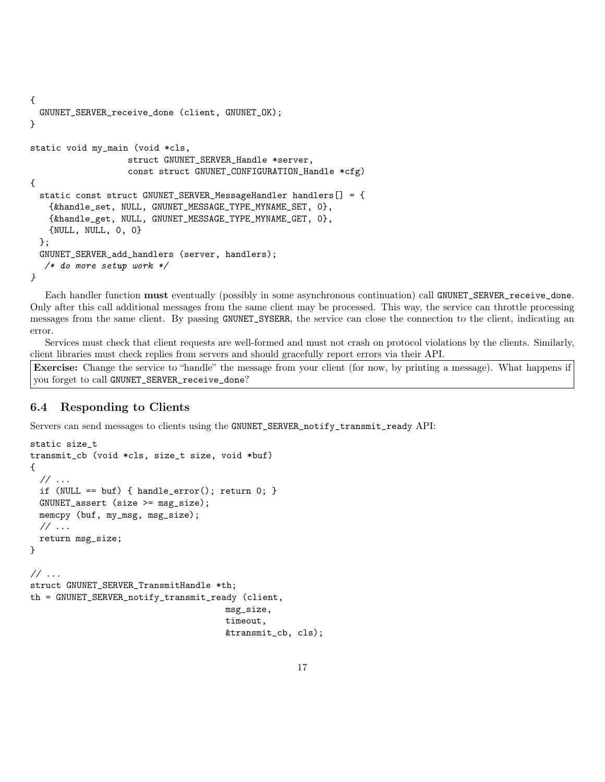```
{
 GNUNET_SERVER_receive_done (client, GNUNET_OK);
}
static void my_main (void *cls,
                   struct GNUNET_SERVER_Handle *server,
                   const struct GNUNET_CONFIGURATION_Handle *cfg)
{
  static const struct GNUNET_SERVER_MessageHandler handlers[] = {
   {&handle_set, NULL, GNUNET_MESSAGE_TYPE_MYNAME_SET, 0},
   {&handle_get, NULL, GNUNET_MESSAGE_TYPE_MYNAME_GET, 0},
   {NULL, NULL, 0, 0}
 };
 GNUNET_SERVER_add_handlers (server, handlers);
  /* do more setup work */
}
```
Each handler function must eventually (possibly in some asynchronous continuation) call GNUNET\_SERVER\_receive\_done. Only after this call additional messages from the same client may be processed. This way, the service can throttle processing messages from the same client. By passing GNUNET\_SYSERR, the service can close the connection to the client, indicating an error.

Services must check that client requests are well-formed and must not crash on protocol violations by the clients. Similarly, client libraries must check replies from servers and should gracefully report errors via their API.

Exercise: Change the service to "handle" the message from your client (for now, by printing a message). What happens if you forget to call GNUNET\_SERVER\_receive\_done?

# 6.4 Responding to Clients

Servers can send messages to clients using the GNUNET\_SERVER\_notify\_transmit\_ready API:

```
static size_t
transmit_cb (void *cls, size_t size, void *buf)
{
  // ...
 if (NULL == buf) { handle_error(); return 0; }
 GNUNET_assert (size >= msg_size);
 memcpy (buf, my_msg, msg_size);
 // ...
 return msg_size;
}
// ...
struct GNUNET_SERVER_TransmitHandle *th;
th = GNUNET_SERVER_notify_transmit_ready (client,
                                       msg_size,
                                       timeout,
                                       &transmit_cb, cls);
```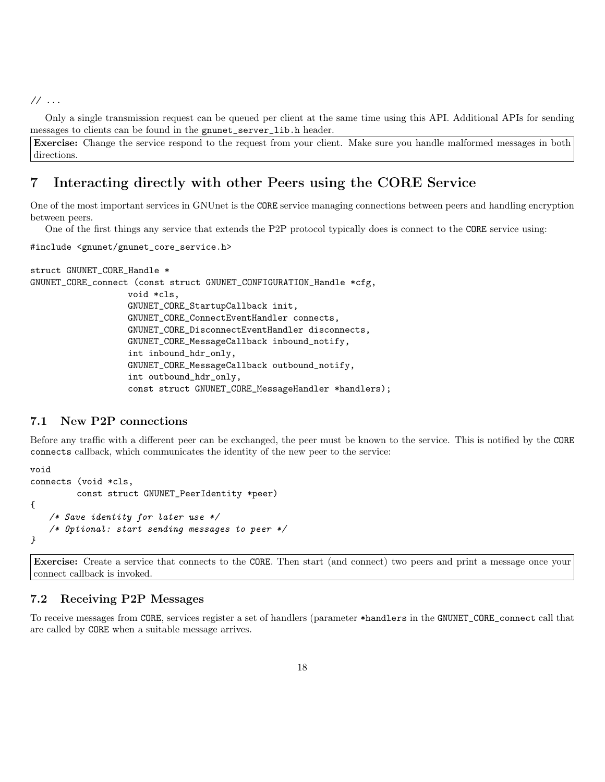// ...

Only a single transmission request can be queued per client at the same time using this API. Additional APIs for sending messages to clients can be found in the gnunet\_server\_lib.h header.

Exercise: Change the service respond to the request from your client. Make sure you handle malformed messages in both directions.

# 7 Interacting directly with other Peers using the CORE Service

One of the most important services in GNUnet is the CORE service managing connections between peers and handling encryption between peers.

One of the first things any service that extends the P2P protocol typically does is connect to the CORE service using:

```
#include <gnunet/gnunet_core_service.h>
```

```
struct GNUNET_CORE_Handle *
GNUNET_CORE_connect (const struct GNUNET_CONFIGURATION_Handle *cfg,
                   void *cls,
                   GNUNET_CORE_StartupCallback init,
                   GNUNET_CORE_ConnectEventHandler connects,
                   GNUNET_CORE_DisconnectEventHandler disconnects,
                   GNUNET_CORE_MessageCallback inbound_notify,
                   int inbound_hdr_only,
                   GNUNET_CORE_MessageCallback outbound_notify,
                   int outbound_hdr_only,
                   const struct GNUNET_CORE_MessageHandler *handlers);
```
# 7.1 New P2P connections

Before any traffic with a different peer can be exchanged, the peer must be known to the service. This is notified by the CORE connects callback, which communicates the identity of the new peer to the service:

```
void
connects (void *cls,
         const struct GNUNET_PeerIdentity *peer)
{
   /* Save identity for later use */
   /* Optional: start sending messages to peer */
}
```
Exercise: Create a service that connects to the CORE. Then start (and connect) two peers and print a message once your connect callback is invoked.

### 7.2 Receiving P2P Messages

To receive messages from CORE, services register a set of handlers (parameter \*handlers in the GNUNET\_CORE\_connect call that are called by CORE when a suitable message arrives.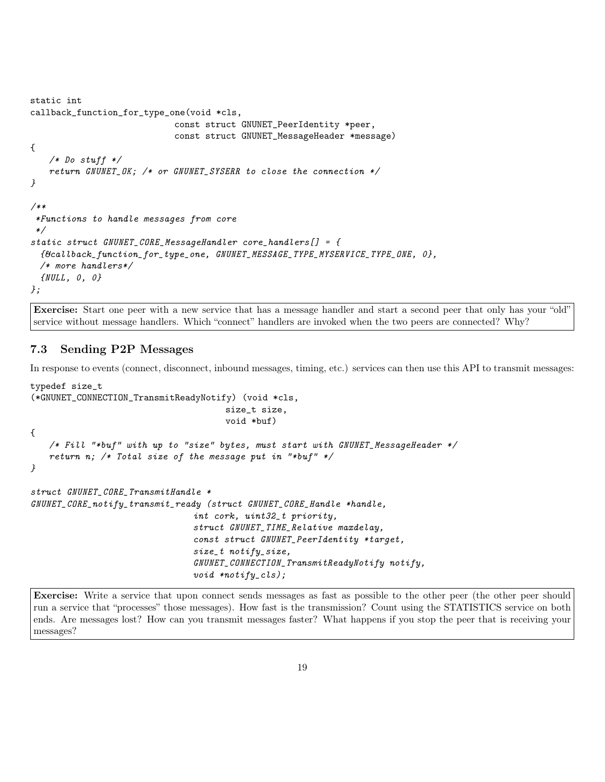```
static int
callback_function_for_type_one(void *cls,
                            const struct GNUNET_PeerIdentity *peer,
                            const struct GNUNET_MessageHeader *message)
{
   /* Do stuff */
   return GNUNET_OK; /* or GNUNET_SYSERR to close the connection */}
/**
 *Functions to handle messages from core
 */
static struct GNUNET_CORE_MessageHandler core_handlers[] = f{&callback_function_for_type_one, GNUNET_MESSAGE_TYPE_MYSERVICE_TYPE_ONE, 0},
  /* more handlers*/
  {NULL, 0, 0}
};
```
Exercise: Start one peer with a new service that has a message handler and start a second peer that only has your "old" service without message handlers. Which "connect" handlers are invoked when the two peers are connected? Why?

# 7.3 Sending P2P Messages

In response to events (connect, disconnect, inbound messages, timing, etc.) services can then use this API to transmit messages:

```
typedef size_t
(*GNUNET_CONNECTION_TransmitReadyNotify) (void *cls,
                                      size_t size,
                                      void *buf)
{
   /* Fill "*buf" with up to "size" bytes, must start with GNUNET_MessageHeader */
   return n; /* Total size of the message put in "*buf" */
}
struct GNUNET_CORE_TransmitHandle *
GNUNET_CORE_notify_transmit_ready (struct GNUNET_CORE_Handle *handle,
                                int cork, uint32_t priority,
                                struct GNUNET_TIME_Relative maxdelay,
                                const struct GNUNET_PeerIdentity *target,
                                size_t notify_size,
                                GNUNET_CONNECTION_TransmitReadyNotify notify,
                                void *notify_cls);
```
Exercise: Write a service that upon connect sends messages as fast as possible to the other peer (the other peer should run a service that "processes" those messages). How fast is the transmission? Count using the STATISTICS service on both ends. Are messages lost? How can you transmit messages faster? What happens if you stop the peer that is receiving your messages?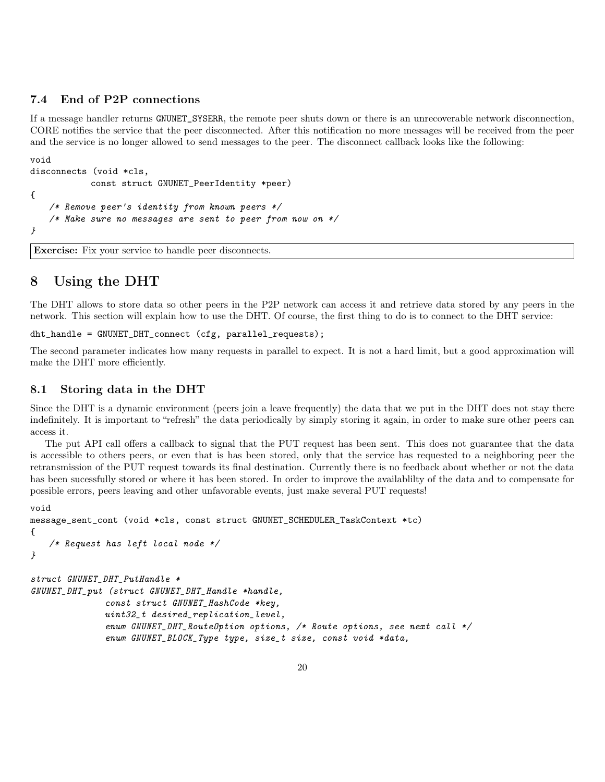# 7.4 End of P2P connections

If a message handler returns GNUNET\_SYSERR, the remote peer shuts down or there is an unrecoverable network disconnection, CORE notifies the service that the peer disconnected. After this notification no more messages will be received from the peer and the service is no longer allowed to send messages to the peer. The disconnect callback looks like the following:

```
void
disconnects (void *cls,
           const struct GNUNET_PeerIdentity *peer)
{
   /* Remove peer's identity from known peers */
   /* Make sure no messages are sent to peer from now on */}
```
Exercise: Fix your service to handle peer disconnects.

# 8 Using the DHT

The DHT allows to store data so other peers in the P2P network can access it and retrieve data stored by any peers in the network. This section will explain how to use the DHT. Of course, the first thing to do is to connect to the DHT service:

```
dht_handle = GNUNET_DHT_connect (cfg, parallel_requests);
```
The second parameter indicates how many requests in parallel to expect. It is not a hard limit, but a good approximation will make the DHT more efficiently.

### 8.1 Storing data in the DHT

Since the DHT is a dynamic environment (peers join a leave frequently) the data that we put in the DHT does not stay there indefinitely. It is important to "refresh" the data periodically by simply storing it again, in order to make sure other peers can access it.

The put API call offers a callback to signal that the PUT request has been sent. This does not guarantee that the data is accessible to others peers, or even that is has been stored, only that the service has requested to a neighboring peer the retransmission of the PUT request towards its final destination. Currently there is no feedback about whether or not the data has been sucessfully stored or where it has been stored. In order to improve the availablilty of the data and to compensate for possible errors, peers leaving and other unfavorable events, just make several PUT requests!

```
void
message_sent_cont (void *cls, const struct GNUNET_SCHEDULER_TaskContext *tc)
{
   /* Request has left local node */
}
struct GNUNET_DHT_PutHandle *
GNUNET_DHT_put (struct GNUNET_DHT_Handle *handle,
              const struct GNUNET_HashCode *key,
              uint32_t desired_replication_level,
              enum GNUNET_DHT_RouteOption options, /* Route options, see next call */
              enum GNUNET_BLOCK_Type type, size_t size, const void *data,
```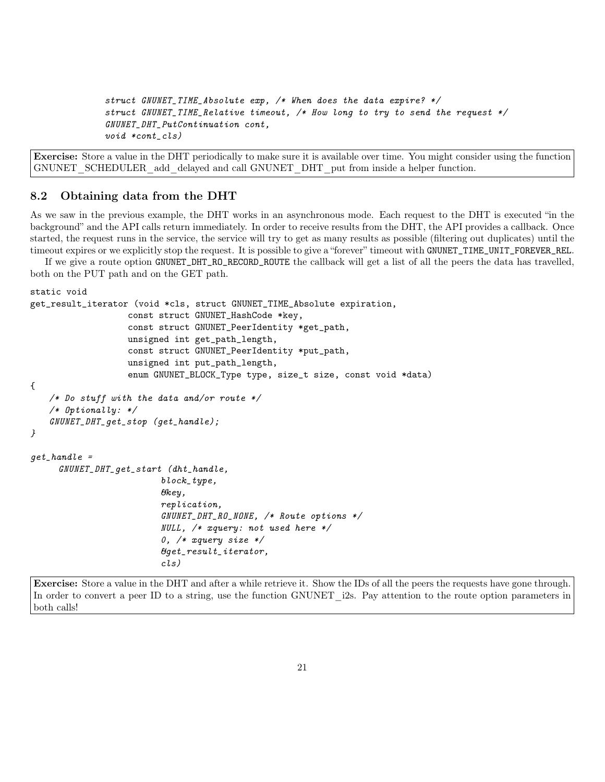```
struct GNUNET_TIME_Absolute exp, /* When does the data expire? */
struct GNUNET_TIME_Relative timeout, /* How long to try to send the request */
GNUNET_DHT_PutContinuation cont,
void *cont_cls)
```
Exercise: Store a value in the DHT periodically to make sure it is available over time. You might consider using the function GNUNET\_SCHEDULER\_add\_delayed and call GNUNET\_DHT\_put from inside a helper function.

### 8.2 Obtaining data from the DHT

As we saw in the previous example, the DHT works in an asynchronous mode. Each request to the DHT is executed "in the background" and the API calls return immediately. In order to receive results from the DHT, the API provides a callback. Once started, the request runs in the service, the service will try to get as many results as possible (filtering out duplicates) until the timeout expires or we explicitly stop the request. It is possible to give a "forever" timeout with GNUNET\_TIME\_UNIT\_FOREVER\_REL.

If we give a route option GNUNET\_DHT\_RO\_RECORD\_ROUTE the callback will get a list of all the peers the data has travelled, both on the PUT path and on the GET path.

```
static void
get_result_iterator (void *cls, struct GNUNET_TIME_Absolute expiration,
                   const struct GNUNET_HashCode *key,
                   const struct GNUNET_PeerIdentity *get_path,
                   unsigned int get_path_length,
                   const struct GNUNET_PeerIdentity *put_path,
                   unsigned int put_path_length,
                   enum GNUNET_BLOCK_Type type, size_t size, const void *data)
{
   /* Do stuff with the data and/or route *//* Optionally: */
   GNUNET_DHT_get_stop (get_handle);
}
qet\_handle =
     GNUNET_DHT_get_start (dht_handle,
                          block_type,
                          \mathcal{B}key,
                          replication,
                          GNUNET_DHT_RO_NONE, /* Route options */
                          NULL, /* xquery: not used here */
                          0, /* xquery size */&get_result_iterator,
                          cls)
```
Exercise: Store a value in the DHT and after a while retrieve it. Show the IDs of all the peers the requests have gone through. In order to convert a peer ID to a string, use the function GNUNET i2s. Pay attention to the route option parameters in both calls!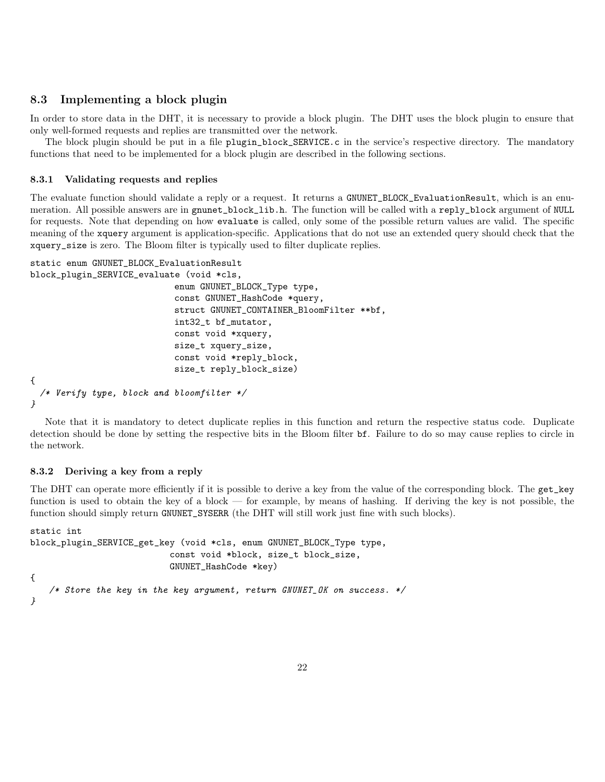# 8.3 Implementing a block plugin

In order to store data in the DHT, it is necessary to provide a block plugin. The DHT uses the block plugin to ensure that only well-formed requests and replies are transmitted over the network.

The block plugin should be put in a file plugin\_block\_SERVICE.c in the service's respective directory. The mandatory functions that need to be implemented for a block plugin are described in the following sections.

### 8.3.1 Validating requests and replies

The evaluate function should validate a reply or a request. It returns a GNUNET\_BLOCK\_EvaluationResult, which is an enumeration. All possible answers are in gnunet\_block\_lib.h. The function will be called with a reply\_block argument of NULL for requests. Note that depending on how evaluate is called, only some of the possible return values are valid. The specific meaning of the xquery argument is application-specific. Applications that do not use an extended query should check that the xquery\_size is zero. The Bloom filter is typically used to filter duplicate replies.

```
static enum GNUNET_BLOCK_EvaluationResult
block_plugin_SERVICE_evaluate (void *cls,
```

```
enum GNUNET_BLOCK_Type type,
                            const GNUNET_HashCode *query,
                            struct GNUNET_CONTAINER_BloomFilter **bf,
                            int32_t bf_mutator,
                            const void *xquery,
                            size_t xquery_size,
                            const void *reply_block,
                            size_t reply_block_size)
{
  /* Verify type, block and bloomfilter */
}
```
Note that it is mandatory to detect duplicate replies in this function and return the respective status code. Duplicate detection should be done by setting the respective bits in the Bloom filter bf. Failure to do so may cause replies to circle in the network.

### 8.3.2 Deriving a key from a reply

The DHT can operate more efficiently if it is possible to derive a key from the value of the corresponding block. The get\_key function is used to obtain the key of a block — for example, by means of hashing. If deriving the key is not possible, the function should simply return GNUNET\_SYSERR (the DHT will still work just fine with such blocks).

```
static int
block_plugin_SERVICE_get_key (void *cls, enum GNUNET_BLOCK_Type type,
                           const void *block, size_t block_size,
                           GNUNET_HashCode *key)
{
   /* Store the key in the key argument, return GNUNET_OK on success. */}
```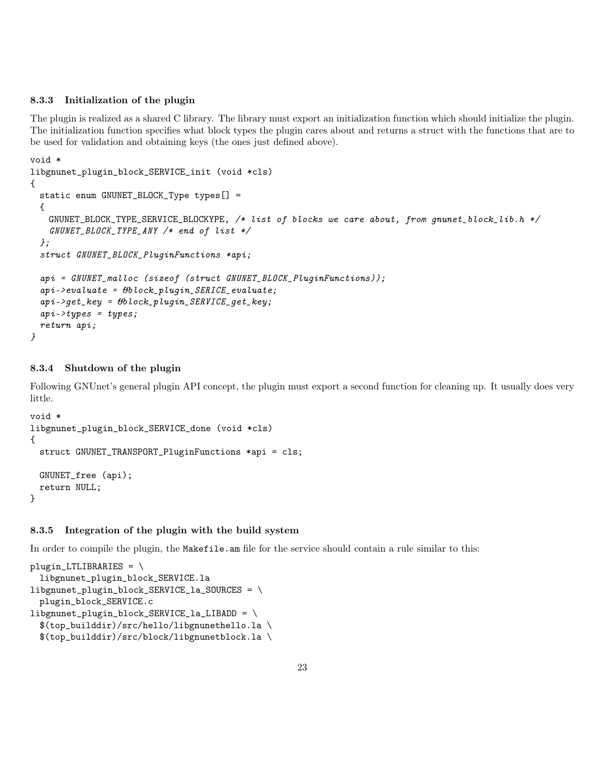### 8.3.3 Initialization of the plugin

The plugin is realized as a shared C library. The library must export an initialization function which should initialize the plugin. The initialization function specifies what block types the plugin cares about and returns a struct with the functions that are to be used for validation and obtaining keys (the ones just defined above).

```
void *
libgnunet_plugin_block_SERVICE_init (void *cls)
{
  static enum GNUNET_BLOCK_Type types[] =
  {
    GNUNET\_BLOCK\_TYPE\_SERVICE\_BLOGYPE, /* list of blocks we care about, from gnunet_block_lib.h */
    GNUNET_BLOCK_TYPE_ANY /* end of list */
  };
  struct GNUNET_BLOCK_PluginFunctions *api;
  api = GNUNET_malloc (sizeof (struct GNUNET_BLOCK_PluginFunctions));
  ap\textit{i} ->evaluate = 6block_plugin_SERICE_evaluate;
  ap\textit{i}\text{-}\textit{y} = b\textit{block}_\textit{p}\textit{l} ugin_SERVICE_get_key;
  ap \textit{i}->types = types;
  return api;
}
```
## 8.3.4 Shutdown of the plugin

Following GNUnet's general plugin API concept, the plugin must export a second function for cleaning up. It usually does very little.

```
void *
libgnunet_plugin_block_SERVICE_done (void *cls)
{
 struct GNUNET_TRANSPORT_PluginFunctions *api = cls;
 GNUNET_free (api);
 return NULL;
}
```
### 8.3.5 Integration of the plugin with the build system

In order to compile the plugin, the Makefile.am file for the service should contain a rule similar to this:

```
plugin_LTLIBRARIES = \n\libgnunet_plugin_block_SERVICE.la
libgnunet_plugin_block_SERVICE_la_SOURCES = \
 plugin_block_SERVICE.c
libgnunet_plugin_block_SERVICE_la_LIBADD = \
 $(top_builddir)/src/hello/libgnunethello.la \
  $(top_builddir)/src/block/libgnunetblock.la \
```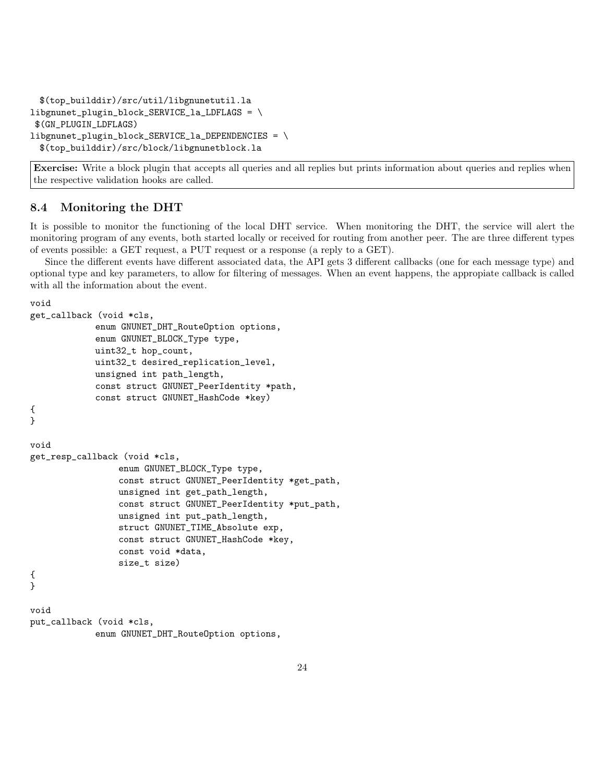```
$(top_builddir)/src/util/libgnunetutil.la
libgnunet_plugin_block_SERVICE_la_LDFLAGS = \
$(GN_PLUGIN_LDFLAGS)
libgnunet_plugin_block_SERVICE_la_DEPENDENCIES = \
 $(top_builddir)/src/block/libgnunetblock.la
```
Exercise: Write a block plugin that accepts all queries and all replies but prints information about queries and replies when the respective validation hooks are called.

# 8.4 Monitoring the DHT

It is possible to monitor the functioning of the local DHT service. When monitoring the DHT, the service will alert the monitoring program of any events, both started locally or received for routing from another peer. The are three different types of events possible: a GET request, a PUT request or a response (a reply to a GET).

Since the different events have different associated data, the API gets 3 different callbacks (one for each message type) and optional type and key parameters, to allow for filtering of messages. When an event happens, the appropiate callback is called with all the information about the event.

void

```
get_callback (void *cls,
             enum GNUNET_DHT_RouteOption options,
             enum GNUNET_BLOCK_Type type,
            uint32_t hop_count,
             uint32_t desired_replication_level,
            unsigned int path_length,
             const struct GNUNET_PeerIdentity *path,
             const struct GNUNET_HashCode *key)
{
}
void
get_resp_callback (void *cls,
                 enum GNUNET_BLOCK_Type type,
                 const struct GNUNET_PeerIdentity *get_path,
                 unsigned int get_path_length,
                 const struct GNUNET_PeerIdentity *put_path,
                 unsigned int put_path_length,
                 struct GNUNET_TIME_Absolute exp,
                 const struct GNUNET_HashCode *key,
                 const void *data,
                 size_t size)
{
}
void
put_callback (void *cls,
             enum GNUNET_DHT_RouteOption options,
```